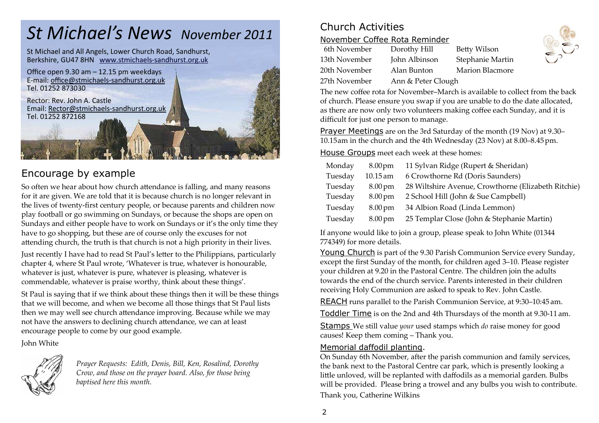## *St Michael's News November 2011*

St Michael and All Angels, Lower Church Road, Sandhurst, Berkshire, GU47 8HN www.stmichaels-sandhurst.org.uk



## Encourage by example

So often we hear about how church attendance is falling, and many reasons for it are given. We are told that it is because church is no longer relevant in the lives of twenty-first century people, or because parents and children now play football or go swimming on Sundays, or because the shops are open on Sundays and either people have to work on Sundays or it's the only time they have to go shopping, but these are of course only the excuses for not attending church, the truth is that church is not a high priority in their lives.

Just recently I have had to read St Paul's letter to the Philippians, particularly chapter 4, where St Paul wrote, 'Whatever is true, whatever is honourable, whatever is just, whatever is pure, whatever is pleasing, whatever is commendable, whatever is praise worthy, think about these things'.

St Paul is saying that if we think about these things then it will be these things that we will become, and when we become all those things that St Paul lists then we may well see church attendance improving. Because while we may not have the answers to declining church attendance, we can at least encourage people to come by our good example.

John White



*Prayer Requests: Edith, Denis, Bill, Ken, Rosalind, Dorothy Crow, and those on the prayer board. Also, for those being baptised here this month.* 

## Church Activities

#### November Coffee Rota Reminder

| 6th November  | Dorothy Hill   |
|---------------|----------------|
| 13th November | John Albinson  |
| 20th November | Alan Bunton    |
| 27th November | Ann & Peter Cl |

Betty Wilson Stephanie Martin Marion Blacmore lough



The new coffee rota for November–March is available to collect from the back of church. Please ensure you swap if you are unable to do the date allocated, as there are now only two volunteers making coffee each Sunday, and it is difficult for just one person to manage.

Prayer Meetings are on the 3rd Saturday of the month (19 Nov) at 9.30– 10.15am in the church and the 4th Wednesday (23 Nov) at 8.00–8.45pm.

House Groups meet each week at these homes:

| Monday  | $8.00 \,\mathrm{pm}$ | 11 Sylvan Ridge (Rupert & Sheridan)                 |
|---------|----------------------|-----------------------------------------------------|
| Tuesday | 10.15 am             | 6 Crowthorne Rd (Doris Saunders)                    |
| Tuesday | $8.00 \,\mathrm{pm}$ | 28 Wiltshire Avenue, Crowthorne (Elizabeth Ritchie) |
| Tuesday | $8.00 \,\mathrm{pm}$ | 2 School Hill (John & Sue Campbell)                 |
| Tuesday | $8.00 \,\mathrm{pm}$ | 34 Albion Road (Linda Lemmon)                       |
| Tuesday | $8.00 \,\mathrm{pm}$ | 25 Templar Close (John & Stephanie Martin)          |

If anyone would like to join a group, please speak to John White (01344 774349) for more details.

Young Church is part of the 9.30 Parish Communion Service every Sunday, except the first Sunday of the month, for children aged 3–10. Please register your children at 9.20 in the Pastoral Centre. The children join the adults towards the end of the church service. Parents interested in their children receiving Holy Communion are asked to speak to Rev. John Castle.

REACH runs parallel to the Parish Communion Service, at 9:30–10:45 am.

Toddler Time is on the 2nd and 4th Thursdays of the month at 9.30-11 am.

Stamps We still value *your* used stamps which *do* raise money for good causes! Keep them coming – Thank you.

#### Memorial daffodil planting.

 On Sunday 6th November, after the parish communion and family services, the bank next to the Pastoral Centre car park, which is presently looking a little unloved, will be replanted with daffodils as a memorial garden. Bulbs will be provided. Please bring a trowel and any bulbs you wish to contribute. Thank you, Catherine Wilkins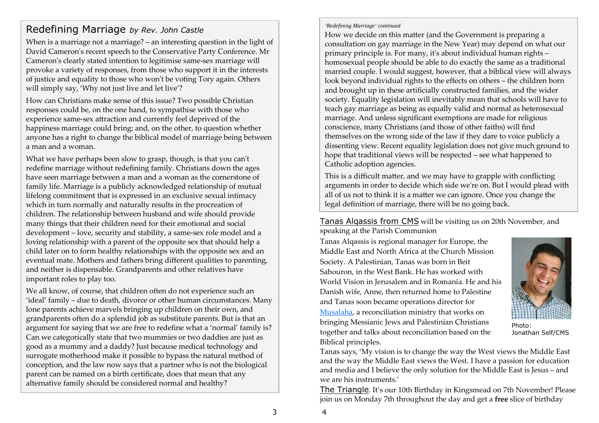## Redefining Marriage *by Rev. John Castle*

When is a marriage not a marriage? – an interesting question in the light of David Cameron's recent speech to the Conservative Party Conference. Mr Cameron's clearly stated intention to legitimise same-sex marriage will provoke a variety of responses, from those who support it in the interests of justice and equality to those who won't be voting Tory again. Others will simply say, 'Why not just live and let live'?

How can Christians make sense of this issue? Two possible Christian responses could be, on the one hand, to sympathise with those who experience same-sex attraction and currently feel deprived of the happiness marriage could bring; and, on the other, to question whether anyone has a right to change the biblical model of marriage being between a man and a woman.

What we have perhaps been slow to grasp, though, is that you can't redefine marriage without redefining family. Christians down the ages have seen marriage between a man and a woman as the cornerstone of family life. Marriage is a publicly acknowledged relationship of mutual lifelong commitment that is expressed in an exclusive sexual intimacy which in turn normally and naturally results in the procreation of children. The relationship between husband and wife should provide many things that their children need for their emotional and social development – love, security and stability, a same-sex role model and a loving relationship with a parent of the opposite sex that should help a child later on to form healthy relationships with the opposite sex and an eventual mate. Mothers and fathers bring different qualities to parenting, and neither is dispensable. Grandparents and other relatives have important roles to play too.

We all know, of course, that children often do not experience such an 'ideal' family – due to death, divorce or other human circumstances. Many lone parents achieve marvels bringing up children on their own, and grandparents often do a splendid job as substitute parents. But is that an argument for saying that we are free to redefine what a 'normal' family is? Can we categorically state that two mummies or two daddies are just as good as a mummy and a daddy? Just because medical technology and surrogate motherhood make it possible to bypass the natural method of conception, and the law now says that a partner who is not the biological parent can be named on a birth certificate, does that mean that any alternative family should be considered normal and healthy?

*'Redefining Marriage' continued* 

How we decide on this matter (and the Government is preparing a consultation on gay marriage in the New Year) may depend on what our primary principle is. For many, itʹs about individual human rights – homosexual people should be able to do exactly the same as a traditional married couple. I would suggest, however, that a biblical view will always look beyond individual rights to the effects on others – the children born and brought up in these artificially constructed families, and the wider society. Equality legislation will inevitably mean that schools will have to teach gay marriage as being as equally valid and normal as heterosexual marriage. And unless significant exemptions are made for religious conscience, many Christians (and those of other faiths) will find themselves on the wrong side of the law if they dare to voice publicly a dissenting view. Recent equality legislation does not give much ground to hope that traditional views will be respected – see what happened to Catholic adoption agencies.

This is a difficult matter, and we may have to grapple with conflicting arguments in order to decide which side weʹre on. But I would plead with all of us not to think it is a matter we can ignore. Once you change the legal definition of marriage, there will be no going back.

Tanas Alqassis from CMS will be visiting us on 20th November, and speaking at the Parish Communion

Tanas Alqassis is regional manager for Europe, the Middle East and North Africa at the Church Mission Society. A Palestinian, Tanas was born in Beit Sahouron, in the West Bank. He has worked with World Vision in Jerusalem and in Romania. He and his Danish wife, Anne, then returned home to Palestine and Tanas soon became operations director for Musalaha, a reconciliation ministry that works on bringing Messianic Jews and Palestinian Christians together and talks about reconciliation based on the Biblical principles.



Photo: Jonathan Self/CMS

Tanas says, 'My vision is to change the way the West views the Middle East and the way the Middle East views the West. I have a passion for education and media and I believe the only solution for the Middle East is Jesus – and we are his instruments.'

The Triangle. It's our 10th Birthday in Kingsmead on 7th November! Please join us on Monday 7th throughout the day and get a **free** slice of birthday

4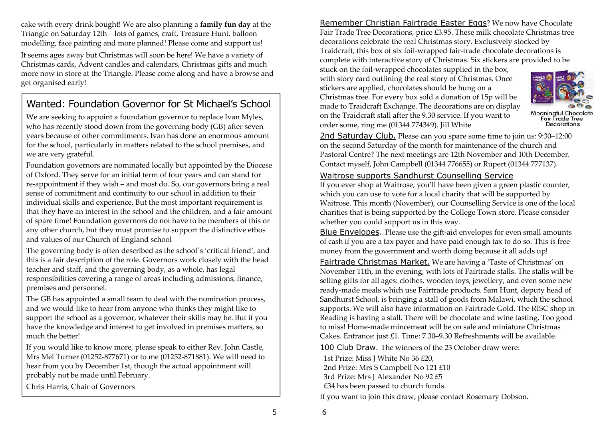cake with every drink bought! We are also planning a **family fun day** at the Triangle on Saturday 12th – lots of games, craft, Treasure Hunt, balloon modelling, face painting and more planned! Please come and support us!

It seems ages away but Christmas will soon be here! We have a variety of Christmas cards, Advent candles and calendars, Christmas gifts and much more now in store at the Triangle. Please come along and have a browse and get organised early!

## Wanted: Foundation Governor for St Michael's School

We are seeking to appoint a foundation governor to replace Ivan Myles, who has recently stood down from the governing body (GB) after seven years because of other commitments. Ivan has done an enormous amount for the school, particularly in matters related to the school premises, and we are very grateful.

Foundation governors are nominated locally but appointed by the Diocese of Oxford. They serve for an initial term of four years and can stand for re-appointment if they wish – and most do. So, our governors bring a real sense of commitment and continuity to our school in addition to their individual skills and experience. But the most important requirement is that they have an interest in the school and the children, and a fair amount of spare time! Foundation governors do not have to be members of this or any other church, but they must promise to support the distinctive ethos and values of our Church of England school

The governing body is often described as the school`s 'critical friend', and this is a fair description of the role. Governors work closely with the head teacher and staff, and the governing body, as a whole, has legal responsibilities covering a range of areas including admissions, finance, premises and personnel.

The GB has appointed a small team to deal with the nomination process, and we would like to hear from anyone who thinks they might like to support the school as a governor, whatever their skills may be. But if you have the knowledge and interest to get involved in premises matters, so much the better!

If you would like to know more, please speak to either Rev. John Castle, Mrs Mel Turner (01252-877671) or to me (01252-871881). We will need to hear from you by December 1st, though the actual appointment will probably not be made until February.

Chris Harris, Chair of Governors

Remember Christian Fairtrade Easter Eggs? We now have Chocolate Fair Trade Tree Decorations, price £3.95. These milk chocolate Christmas tree decorations celebrate the real Christmas story. Exclusively stocked by Traidcraft, this box of six foil-wrapped fair-trade chocolate decorations is complete with interactive story of Christmas. Six stickers are provided to be

stuck on the foil-wrapped chocolates supplied in the box, with story card outlining the real story of Christmas. Once stickers are applied, chocolates should be hung on a Christmas tree. For every box sold a donation of 15p will be made to Traidcraft Exchange. The decorations are on display on the Traidcraft stall after the 9.30 service. If you want to order some, ring me (01344 774349). Jill White



Meaningful Chocolate<br>Fair Trade Tree Decorations

2nd Saturday Club. Please can you spare some time to join us: 9:30–12:00 on the second Saturday of the month for maintenance of the church and Pastoral Centre? The next meetings are 12th November and 10th December. Contact myself, John Campbell (01344 776655) or Rupert (01344 777137).

#### Waitrose supports Sandhurst Counselling Service

 If you ever shop at Waitrose, you'll have been given a green plastic counter, which you can use to vote for a local charity that will be supported by Waitrose. This month (November), our Counselling Service is one of the local charities that is being supported by the College Town store. Please consider whether you could support us in this way.

Blue Envelopes. Please use the gift-aid envelopes for even small amounts of cash if you are a tax payer and have paid enough tax to do so. This is free money from the government and worth doing because it all adds up!

Fairtrade Christmas Market. We are having a 'Taste of Christmas' on November 11th, in the evening, with lots of Fairtrade stalls. The stalls will be selling gifts for all ages: clothes, wooden toys, jewellery, and even some new ready-made meals which use Fairtrade products. Sam Hunt, deputy head of Sandhurst School, is bringing a stall of goods from Malawi, which the school supports. We will also have information on Fairtrade Gold. The RISC shop in Reading is having a stall. There will be chocolate and wine tasting. Too good to miss! Home-made mincemeat will be on sale and miniature Christmas Cakes. Entrance: just £1. Time: 7.30–9.30 Refreshments will be available.

100 Club Draw. The winners of the 23 October draw were:

1st Prize: Miss J White No 36 £20, 2nd Prize: Mrs S Campbell No 121 £10 3rd Prize: Mrs J Alexander No 92 £5 £34 has been passed to church funds.

If you want to join this draw, please contact Rosemary Dobson.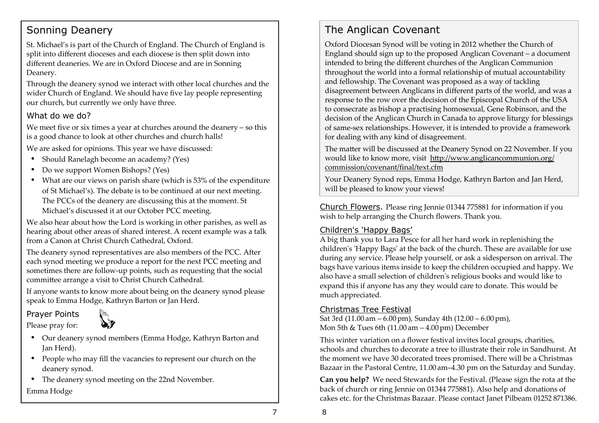### Sonning Deanery

St. Michael's is part of the Church of England. The Church of England is split into different dioceses and each diocese is then split down into different deaneries. We are in Oxford Diocese and are in Sonning Deanery.

Through the deanery synod we interact with other local churches and the wider Church of England. We should have five lay people representing our church, but currently we only have three.

#### What do we do?

We meet five or six times a year at churches around the deanery – so this is a good chance to look at other churches and church halls!

We are asked for opinions. This year we have discussed:

- Should Ranelagh become an academy? (Yes)
- Do we support Women Bishops? (Yes)
- What are our views on parish share (which is 53% of the expenditure of St Michael's). The debate is to be continued at our next meeting. The PCCs of the deanery are discussing this at the moment. St Michael's discussed it at our October PCC meeting.

We also hear about how the Lord is working in other parishes, as well as hearing about other areas of shared interest. A recent example was a talk from a Canon at Christ Church Cathedral, Oxford.

The deanery synod representatives are also members of the PCC. After each synod meeting we produce a report for the next PCC meeting and sometimes there are follow-up points, such as requesting that the social committee arrange a visit to Christ Church Cathedral.

If anyone wants to know more about being on the deanery synod please speak to Emma Hodge, Kathryn Barton or Jan Herd.

Prayer Points Please pray for:



- Our deanery synod members (Emma Hodge, Kathryn Barton and Jan Herd).
- People who may fill the vacancies to represent our church on the deanery synod.
- The deanery synod meeting on the 22nd November. Emma Hodge

## The Anglican Covenant

Oxford Diocesan Synod will be voting in 2012 whether the Church of England should sign up to the proposed Anglican Covenant – a document intended to bring the different churches of the Anglican Communion throughout the world into a formal relationship of mutual accountability and fellowship. The Covenant was proposed as a way of tackling disagreement between Anglicans in different parts of the world, and was a response to the row over the decision of the Episcopal Church of the USA to consecrate as bishop a practising homosexual, Gene Robinson, and the decision of the Anglican Church in Canada to approve liturgy for blessings of same-sex relationships. However, it is intended to provide a framework for dealing with any kind of disagreement.

The matter will be discussed at the Deanery Synod on 22 November. If you would like to know more, visit http://www.anglicancommunion.org/ commission/covenant/final/text.cfm

Your Deanery Synod reps, Emma Hodge, Kathryn Barton and Jan Herd, will be pleased to know your views!

Church Flowers. Please ring Jennie 01344 775881 for information if you wish to help arranging the Church flowers. Thank you.

#### Children's 'Happy Bags'

 A big thank you to Lara Pesce for all her hard work in replenishing the children's 'Happy Bags' at the back of the church. These are available for use during any service. Please help yourself, or ask a sidesperson on arrival. The bags have various items inside to keep the children occupied and happy. We also have a small selection of childrenʹs religious books and would like to expand this if anyone has any they would care to donate. This would be much appreciated.

#### Christmas Tree Festival

 Sat 3rd (11.00 am – 6.00pm), Sunday 4th (12.00 – 6.00pm), Mon 5th & Tues 6th (11.00 am – 4.00pm) December

This winter variation on a flower festival invites local groups, charities, schools and churches to decorate a tree to illustrate their role in Sandhurst. At the moment we have 30 decorated trees promised. There will be a Christmas Bazaar in the Pastoral Centre, 11.00 am–4.30 pm on the Saturday and Sunday.

**Can you help?** We need Stewards for the Festival. (Please sign the rota at the back of church or ring Jennie on 01344 775881). Also help and donations of cakes etc. for the Christmas Bazaar. Please contact Janet Pilbeam 01252 871386.

8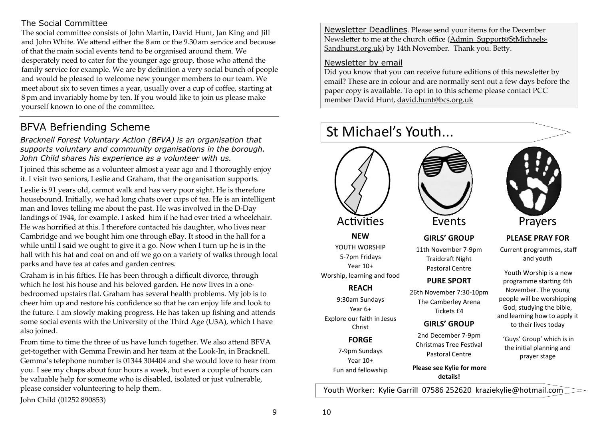#### The Social Committee

The social committee consists of John Martin, David Hunt, Jan King and Jill and John White. We attend either the  $8\,\mathrm{am}$  or the  $9.30\,\mathrm{am}$  service and because of that the main social events tend to be organised around them. We desperately need to cater for the younger age group, those who attend the family service for example. We are by definition a very social bunch of people and would be pleased to welcome new younger members to our team. We meet about six to seven times a year, usually over a cup of coffee, starting at 8pm and invariably home by ten. If you would like to join us please make yourself known to one of the committee.

## BFVA Befriending Scheme

*Bracknell Forest Voluntary Action (BFVA) is an organisation that supports voluntary and community organisations in the borough. John Child shares his experience as a volunteer with us.* 

I joined this scheme as a volunteer almost a year ago and I thoroughly enjoy it. I visit two seniors, Leslie and Graham, that the organisation supports.

Leslie is 91 years old, cannot walk and has very poor sight. He is therefore housebound. Initially, we had long chats over cups of tea. He is an intelligent man and loves telling me about the past. He was involved in the D-Day landings of 1944, for example. I asked him if he had ever tried a wheelchair. He was horrified at this. I therefore contacted his daughter, who lives near Cambridge and we bought him one through eBay. It stood in the hall for a while until I said we ought to give it a go. Now when I turn up he is in the hall with his hat and coat on and off we go on a variety of walks through local parks and have tea at cafes and garden centres.

Graham is in his fifties. He has been through a difficult divorce, through which he lost his house and his beloved garden. He now lives in a onebedroomed upstairs flat. Graham has several health problems. My job is to cheer him up and restore his confidence so that he can enjoy life and look to the future. I am slowly making progress. He has taken up fishing and attends some social events with the University of the Third Age (U3A), which I have also joined.

From time to time the three of us have lunch together. We also attend BFVA get-together with Gemma Frewin and her team at the Look-In, in Bracknell. Gemma's telephone number is 01344 304404 and she would love to hear from you. I see my chaps about four hours a week, but even a couple of hours can be valuable help for someone who is disabled, isolated or just vulnerable, please consider volunteering to help them.

John Child (01252 890853)

Newsletter Deadlines. Please send your items for the December Newsletter to me at the church office (Admin\_Support@StMichaels-Sandhurst.org.uk) by 14th November. Thank you. Betty.

#### Newsletter by email

Did you know that you can receive future editions of this newsletter by email? These are in colour and are normally sent out a few days before the paper copy is available. To opt in to this scheme please contact PCC member David Hunt, david.hunt@bcs.org.uk